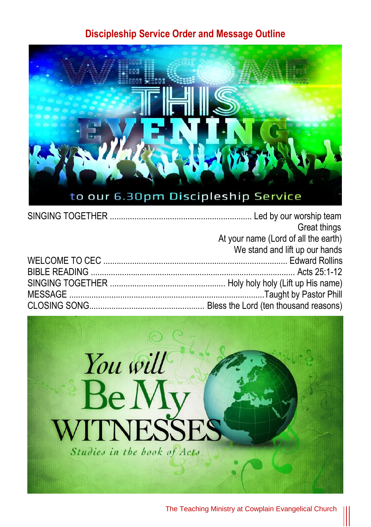#### **Discipleship Service Order and Message Outline**



| Great things                         |
|--------------------------------------|
| At your name (Lord of all the earth) |
| We stand and lift up our hands       |
|                                      |
|                                      |
|                                      |
|                                      |
|                                      |



The Teaching Ministry at Cowplain Evangelical Church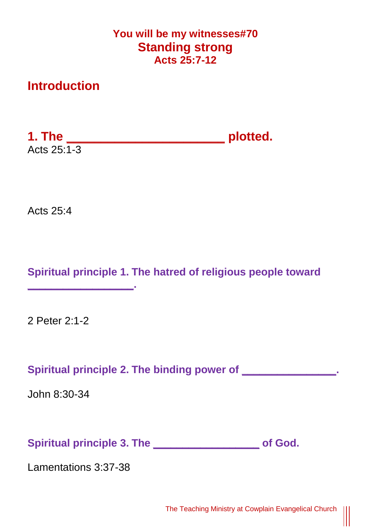## **You will be my witnesses#70 Standing strong Acts 25:7-12**

# **Introduction**

**1. The \_\_\_\_\_\_\_\_\_\_\_\_\_\_\_\_\_\_\_\_\_\_\_ plotted.** Acts  $25:1-3$ 

Acts 25:4

**Spiritual principle 1. The hatred of religious people toward**

2 Peter 2:1-2

**\_\_\_\_\_\_\_\_\_\_\_\_\_\_\_\_\_\_.** 

Spiritual principle 2. The binding power of \_\_\_\_\_\_\_\_\_\_\_\_\_\_\_\_.

John 8:30-34

**Spiritual principle 3. The \_\_\_\_\_\_\_\_\_\_\_\_\_\_\_\_\_\_ of God.**

Lamentations 3:37-38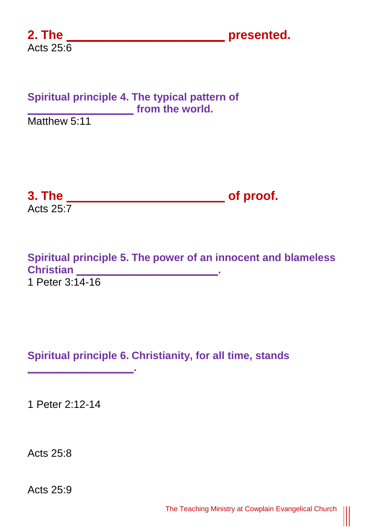**2. The \_\_\_\_\_\_\_\_\_\_\_\_\_\_\_\_\_\_\_\_\_\_\_ presented.**

## **Spiritual principle 4. The typical pattern of \_\_\_\_\_\_\_\_\_\_\_\_\_\_\_\_\_\_ from the world.**

Matthew 5:11

**3. The \_\_\_\_\_\_\_\_\_\_\_\_\_\_\_\_\_\_\_\_\_\_\_ of proof.** Acts  $25:7$ 

**Spiritual principle 5. The power of an innocent and blameless Christian \_\_\_\_\_\_\_\_\_\_\_\_\_\_\_\_\_\_\_\_\_\_\_\_.**  1 Peter 3:14-16

# **Spiritual principle 6. Christianity, for all time, stands**

1 Peter 2:12-14

**\_\_\_\_\_\_\_\_\_\_\_\_\_\_\_\_\_\_.** 

Acts 25:8

Acts 25:9